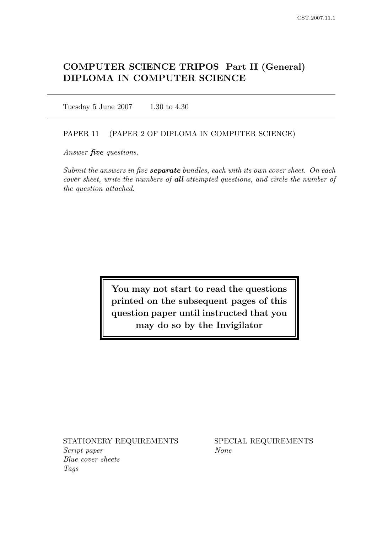# COMPUTER SCIENCE TRIPOS Part II (General) DIPLOMA IN COMPUTER SCIENCE

Tuesday 5 June 2007 1.30 to 4.30

## PAPER 11 (PAPER 2 OF DIPLOMA IN COMPUTER SCIENCE)

Answer *five* questions.

Submit the answers in five **separate** bundles, each with its own cover sheet. On each cover sheet, write the numbers of all attempted questions, and circle the number of the question attached.

> You may not start to read the questions printed on the subsequent pages of this question paper until instructed that you may do so by the Invigilator

STATIONERY REQUIREMENTS SPECIAL REQUIREMENTS Script paper None Blue cover sheets Tags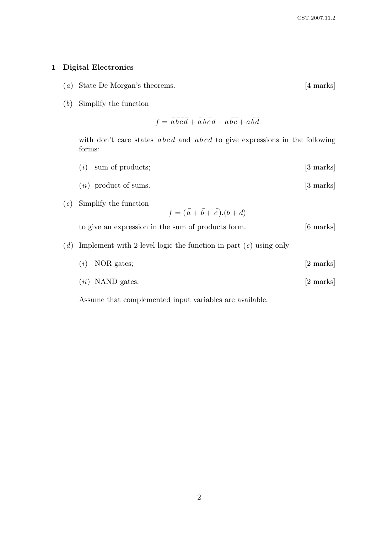## 1 Digital Electronics

- (a) State De Morgan's theorems. [4 marks]
- (b) Simplify the function

$$
f = \overline{a}\overline{b}\overline{c}\overline{d} + \overline{a}\overline{b}\overline{c}\overline{d} + a\overline{b}\overline{c} + a\overline{b}\overline{d}
$$

with don't care states  $\overline{a}\overline{b}\overline{c}\overline{d}$  and  $\overline{a}\overline{b}\overline{c}\overline{d}$  to give expressions in the following forms:

- $(i)$  sum of products;  $[3 \text{ marks}]$
- $(ii)$  product of sums.  $[3 \text{ marks}]$
- (c) Simplify the function

$$
f = (\bar{a} + \bar{b} + \bar{c}).(b + d)
$$

to give an expression in the sum of products form. [6 marks]

- (d) Implement with 2-level logic the function in part  $(c)$  using only
	- (i) NOR gates; [2 marks]
	- $(ii)$  NAND gates.  $[2 \text{ marks}]$

Assume that complemented input variables are available.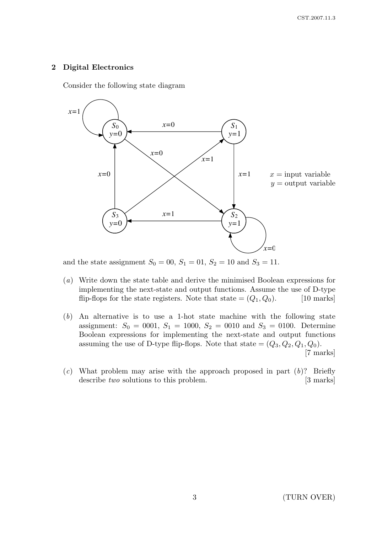## 2 Digital Electronics

Consider the following state diagram



and the state assignment  $S_0 = 00$ ,  $S_1 = 01$ ,  $S_2 = 10$  and  $S_3 = 11$ .

- (a) Write down the state table and derive the minimised Boolean expressions for implementing the next-state and output functions. Assume the use of D-type flip-flops for the state registers. Note that state  $=(Q_1, Q_0)$ . [10 marks]
- (b) An alternative is to use a 1-hot state machine with the following state assignment:  $S_0 = 0001$ ,  $S_1 = 1000$ ,  $S_2 = 0010$  and  $S_3 = 0100$ . Determine Boolean expressions for implementing the next-state and output functions assuming the use of D-type flip-flops. Note that state  $=(Q_3, Q_2, Q_1, Q_0)$ . [7 marks]
- (c) What problem may arise with the approach proposed in part  $(b)$ ? Briefly describe two solutions to this problem. [3 marks]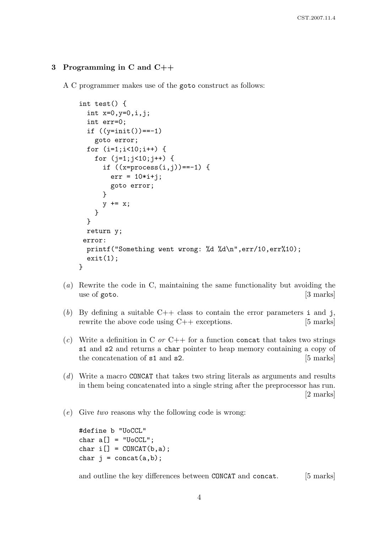## 3 Programming in C and C++

A C programmer makes use of the goto construct as follows:

```
int test() {
  int x=0,y=0,i,j;
  int err=0;
  if ((\text{y}=init()) == -1)goto error;
  for (i=1;i<10;i++) {
    for (i=1; i<10; i++) {
      if ((x=process(i,j)) == -1) {
        err = 10* i + j;goto error;
      }
      y += x;
    }
  }
 return y;
 error:
 printf("Something went wrong: %d %d\n",err/10,err%10);
  exit(1);}
```
- (a) Rewrite the code in C, maintaining the same functionality but avoiding the use of goto. [3 marks]
- (b) By defining a suitable  $C++$  class to contain the error parameters i and j, rewrite the above code using C++ exceptions. [5 marks]
- (c) Write a definition in C or C++ for a function concat that takes two strings s1 and s2 and returns a char pointer to heap memory containing a copy of the concatenation of  $s1$  and  $s2$ . [5 marks]
- (d) Write a macro CONCAT that takes two string literals as arguments and results in them being concatenated into a single string after the preprocessor has run. [2 marks]
- $(e)$  Give two reasons why the following code is wrong:

```
#define b "UoCCL"
char a[] = "UoCCL";char i[] = CONCAT(b, a);char j = concat(a,b);
```
and outline the key differences between CONCAT and concat. [5 marks]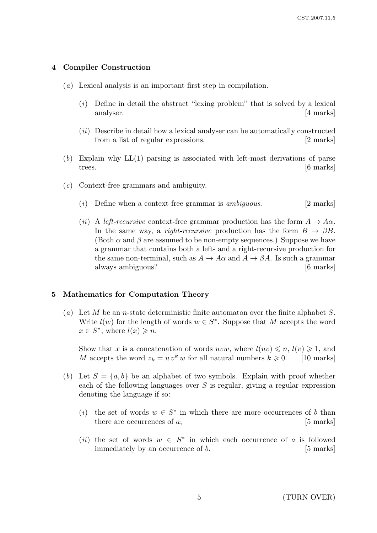## 4 Compiler Construction

- (a) Lexical analysis is an important first step in compilation.
	- $(i)$  Define in detail the abstract "lexing problem" that is solved by a lexical analyser. [4 marks]
	- $(ii)$  Describe in detail how a lexical analyser can be automatically constructed from a list of regular expressions. [2 marks]
- $(b)$  Explain why  $LL(1)$  parsing is associated with left-most derivations of parse trees. [6 marks]
- (c) Context-free grammars and ambiguity.
	- (i) Define when a context-free grammar is *ambiguous*. [2 marks]
	- (ii) A left-recursive context-free grammar production has the form  $A \to A\alpha$ . In the same way, a right-recursive production has the form  $B \to \beta B$ . (Both  $\alpha$  and  $\beta$  are assumed to be non-empty sequences.) Suppose we have a grammar that contains both a left- and a right-recursive production for the same non-terminal, such as  $A \to A\alpha$  and  $A \to \beta A$ . Is such a grammar always ambiguous? [6 marks]

#### 5 Mathematics for Computation Theory

(a) Let M be an n-state deterministic finite automaton over the finite alphabet S. Write  $l(w)$  for the length of words  $w \in S^*$ . Suppose that M accepts the word  $x \in S^*$ , where  $l(x) \geqslant n$ .

Show that x is a concatenation of words uvw, where  $l(uv) \leq n, l(v) \geq 1$ , and M accepts the word  $z_k = u v^k w$  for all natural numbers  $k \geq 0$ . [10 marks]

- (b) Let  $S = \{a, b\}$  be an alphabet of two symbols. Explain with proof whether each of the following languages over  $S$  is regular, giving a regular expression denoting the language if so:
	- (i) the set of words  $w \in S^*$  in which there are more occurrences of b than there are occurrences of a; [5 marks]
	- (ii) the set of words  $w \in S^*$  in which each occurrence of a is followed immediately by an occurrence of b. [5 marks]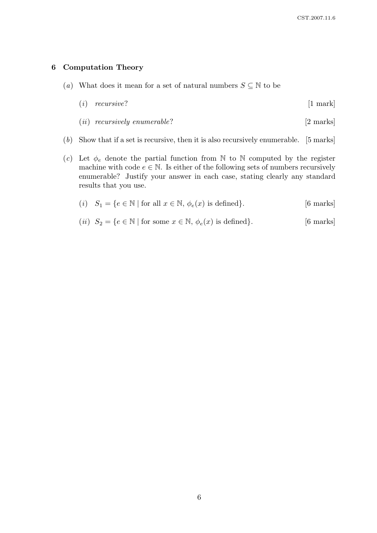### 6 Computation Theory

(a) What does it mean for a set of natural numbers  $S \subseteq \mathbb{N}$  to be

| (i)<br>recurswe. |  | [1 mark] |
|------------------|--|----------|
|------------------|--|----------|

- (*ii*) recursively enumerable?  $[2 \text{ marks}]$
- (b) Show that if a set is recursive, then it is also recursively enumerable. [5 marks]
- (c) Let  $\phi_e$  denote the partial function from N to N computed by the register machine with code  $e \in \mathbb{N}$ . Is either of the following sets of numbers recursively enumerable? Justify your answer in each case, stating clearly any standard results that you use.

$$
(i) \quad S_1 = \{ e \in \mathbb{N} \mid \text{for all } x \in \mathbb{N}, \, \phi_e(x) \text{ is defined} \}. \tag{6 marks}
$$

(*ii*)  $S_2 = \{e \in \mathbb{N} \mid \text{for some } x \in \mathbb{N}, \phi_e(x) \text{ is defined}\}.$  [6 marks]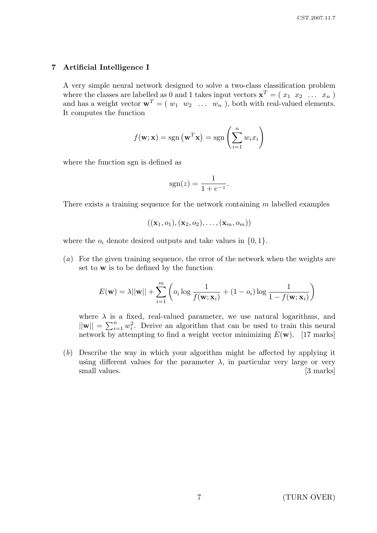## 7 Artificial Intelligence I

A very simple neural network designed to solve a two-class classification problem where the classes are labelled as 0 and 1 takes input vectors  $\mathbf{x}^T = (x_1, x_2, \ldots, x_n)$ and has a weight vector  $\mathbf{w}^T = (w_1 \ w_2 \ \dots \ w_n)$ , both with real-valued elements. It computes the function

$$
f(\mathbf{w}; \mathbf{x}) = sgn(\mathbf{w}^T \mathbf{x}) = sgn\left(\sum_{i=1}^n w_i x_i\right)
$$

where the function sgn is defined as

$$
sgn(z) = \frac{1}{1 + e^{-z}}.
$$

There exists a training sequence for the network containing m labelled examples

$$
((\mathbf{x}_1,o_1),(\mathbf{x}_2,o_2),\ldots,(\mathbf{x}_m,o_m))
$$

where the  $o_i$  denote desired outputs and take values in  $\{0, 1\}.$ 

(a) For the given training sequence, the error of the network when the weights are set to w is to be defined by the function

$$
E(\mathbf{w}) = \lambda ||\mathbf{w}|| + \sum_{i=1}^{m} \left( o_i \log \frac{1}{f(\mathbf{w}; \mathbf{x}_i)} + (1 - o_i) \log \frac{1}{1 - f(\mathbf{w}; \mathbf{x}_i)} \right)
$$

where  $\lambda$  is a fixed, real-valued parameter, we use natural logarithms, and  $||\mathbf{w}|| = \sum_{i=1}^{n} w_i^2$ . Derive an algorithm that can be used to train this neural network by attempting to find a weight vector minimizing  $E(\mathbf{w})$ . [17 marks]

(b) Describe the way in which your algorithm might be affected by applying it using different values for the parameter  $\lambda$ , in particular very large or very small values. [3 marks]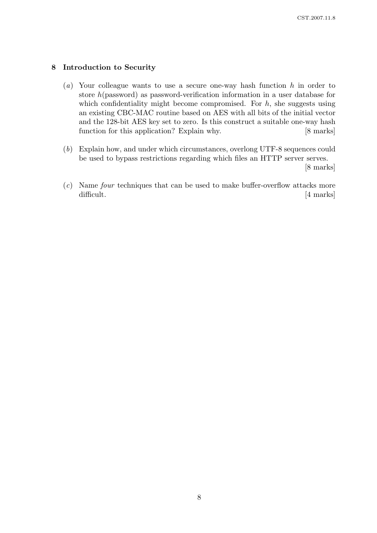## 8 Introduction to Security

- (a) Your colleague wants to use a secure one-way hash function  $h$  in order to store h(password) as password-verification information in a user database for which confidentiality might become compromised. For  $h$ , she suggests using an existing CBC-MAC routine based on AES with all bits of the initial vector and the 128-bit AES key set to zero. Is this construct a suitable one-way hash function for this application? Explain why. [8 marks]
- (b) Explain how, and under which circumstances, overlong UTF-8 sequences could be used to bypass restrictions regarding which files an HTTP server serves.

[8 marks]

(c) Name four techniques that can be used to make buffer-overflow attacks more difficult. [4 marks]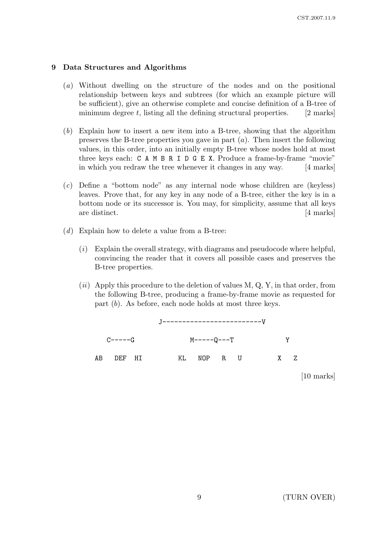#### 9 Data Structures and Algorithms

- (a) Without dwelling on the structure of the nodes and on the positional relationship between keys and subtrees (for which an example picture will be sufficient), give an otherwise complete and concise definition of a B-tree of minimum degree t, listing all the defining structural properties.  $[2 \text{ marks}]$
- (b) Explain how to insert a new item into a B-tree, showing that the algorithm preserves the B-tree properties you gave in part  $(a)$ . Then insert the following values, in this order, into an initially empty B-tree whose nodes hold at most three keys each: C A M B R I D G E X. Produce a frame-by-frame "movie" in which you redraw the tree whenever it changes in any way. [4 marks]
- (c) Define a "bottom node" as any internal node whose children are (keyless) leaves. Prove that, for any key in any node of a B-tree, either the key is in a bottom node or its successor is. You may, for simplicity, assume that all keys are distinct. [4 marks]
- (d) Explain how to delete a value from a B-tree:
	- (i) Explain the overall strategy, with diagrams and pseudocode where helpful, convincing the reader that it covers all possible cases and preserves the B-tree properties.
	- $(ii)$  Apply this procedure to the deletion of values M, Q, Y, in that order, from the following B-tree, producing a frame-by-frame movie as requested for part (b). As before, each node holds at most three keys.



[10 marks]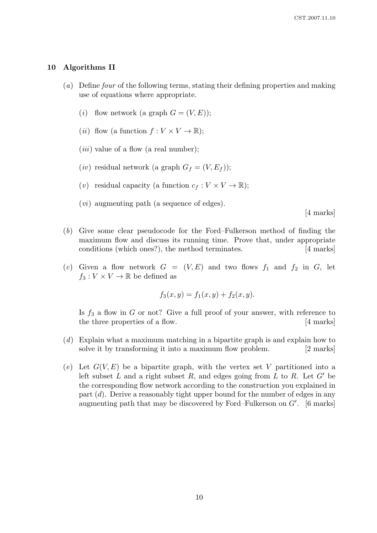#### 10 Algorithms II

- (a) Define four of the following terms, stating their defining properties and making use of equations where appropriate.
	- (*i*) flow network (a graph  $G = (V, E)$ );
	- (*ii*) flow (a function  $f: V \times V \to \mathbb{R}$ );
	- $(iii)$  value of a flow (a real number);
	- (*iv*) residual network (a graph  $G_f = (V, E_f)$ );
	- (v) residual capacity (a function  $c_f : V \times V \to \mathbb{R}$ );
	- $(vi)$  augmenting path (a sequence of edges).

[4 marks]

- (b) Give some clear pseudocode for the Ford–Fulkerson method of finding the maximum flow and discuss its running time. Prove that, under appropriate conditions (which ones?), the method terminates. [4 marks]
- (c) Given a flow network  $G = (V, E)$  and two flows  $f_1$  and  $f_2$  in G, let  $f_3: V \times V \to \mathbb{R}$  be defined as

$$
f_3(x, y) = f_1(x, y) + f_2(x, y).
$$

Is  $f_3$  a flow in G or not? Give a full proof of your answer, with reference to the three properties of a flow. [4 marks]

- (d) Explain what a maximum matching in a bipartite graph is and explain how to solve it by transforming it into a maximum flow problem. [2 marks]
- (e) Let  $G(V, E)$  be a bipartite graph, with the vertex set V partitioned into a left subset  $L$  and a right subset  $R$ , and edges going from  $L$  to  $R$ . Let  $G'$  be the corresponding flow network according to the construction you explained in part  $(d)$ . Derive a reasonably tight upper bound for the number of edges in any augmenting path that may be discovered by Ford–Fulkerson on  $G'$ . [6 marks]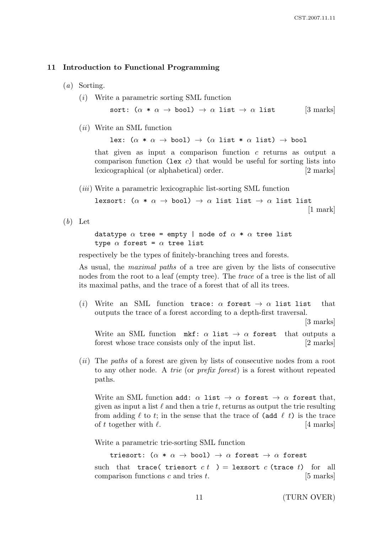#### 11 Introduction to Functional Programming

- (a) Sorting.
	- (i) Write a parametric sorting SML function

sort:  $(\alpha * \alpha \rightarrow \text{bool}) \rightarrow \alpha$  list  $\rightarrow \alpha$  list [3 marks]

(ii) Write an SML function

lex:  $(\alpha * \alpha \rightarrow \text{bool}) \rightarrow (\alpha \text{ list} * \alpha \text{ list}) \rightarrow \text{bool}$ 

that given as input a comparison function c returns as output a comparison function (lex c) that would be useful for sorting lists into lexicographical (or alphabetical) order. [2 marks]

(iii) Write a parametric lexicographic list-sorting SML function

lexsort:  $(\alpha * \alpha \rightarrow \text{bool}) \rightarrow \alpha$  list list  $\rightarrow \alpha$  list list [1 mark]

 $(b)$  Let

datatype  $\alpha$  tree = empty | node of  $\alpha * \alpha$  tree list type  $\alpha$  forest =  $\alpha$  tree list

respectively be the types of finitely-branching trees and forests.

As usual, the maximal paths of a tree are given by the lists of consecutive nodes from the root to a leaf (empty tree). The trace of a tree is the list of all its maximal paths, and the trace of a forest that of all its trees.

(i) Write an SML function trace:  $\alpha$  forest  $\rightarrow \alpha$  list list that outputs the trace of a forest according to a depth-first traversal.

[3 marks]

Write an SML function mkf:  $\alpha$  list  $\rightarrow \alpha$  forest that outputs a forest whose trace consists only of the input list. [2 marks]

(*ii*) The paths of a forest are given by lists of consecutive nodes from a root to any other node. A trie (or prefix forest) is a forest without repeated paths.

Write an SML function add:  $\alpha$  list  $\rightarrow \alpha$  forest  $\rightarrow \alpha$  forest that, given as input a list  $\ell$  and then a trie t, returns as output the trie resulting from adding  $\ell$  to t; in the sense that the trace of (add  $\ell$  t) is the trace of t together with  $\ell$ . [4 marks]

Write a parametric trie-sorting SML function

triesort:  $(\alpha * \alpha \rightarrow \text{bool}) \rightarrow \alpha$  forest  $\rightarrow \alpha$  forest such that trace( triesort  $ct$ ) = lexsort  $c$  (trace  $t$ ) for all comparison functions  $c$  and tries  $t$ . [5 marks]